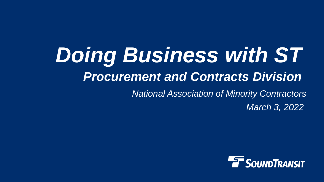# *Doing Business with ST Procurement and Contracts Division National Association of Minority Contractors*

*March 3, 2022*

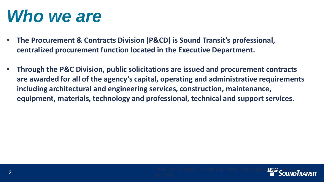### *Who we are*

- **The Procurement & Contracts Division (P&CD) is Sound Transit's professional, centralized procurement function located in the Executive Department.**
- **Through the P&C Division, public solicitations are issued and procurement contracts are awarded for all of the agency's capital, operating and administrative requirements including architectural and engineering services, construction, maintenance, equipment, materials, technology and professional, technical and support services.**

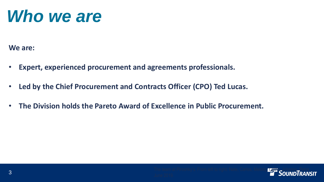### *Who we are*

**We are:**

- **Expert, experienced procurement and agreements professionals.**
- **Led by the Chief Procurement and Contracts Officer (CPO) Ted Lucas.**
- **The Division holds the Pareto Award of Excellence in Public Procurement.**

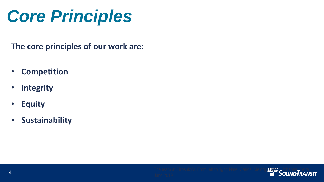# *Core Principles*

**The core principles of our work are:**

- **Competition**
- **Integrity**
- **Equity**
- **Sustainability**

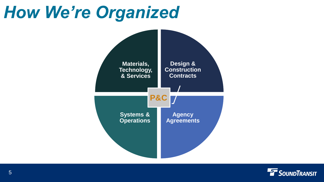## *How We're Organized*



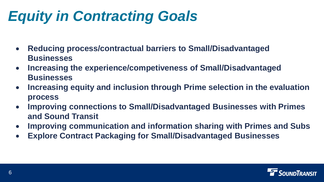### *Equity in Contracting Goals*

- **Reducing process/contractual barriers to Small/Disadvantaged Businesses**
- **Increasing the experience/competiveness of Small/Disadvantaged Businesses**
- **Increasing equity and inclusion through Prime selection in the evaluation process**
- **Improving connections to Small/Disadvantaged Businesses with Primes and Sound Transit**
- **Improving communication and information sharing with Primes and Subs**
- **Explore Contract Packaging for Small/Disadvantaged Businesses**

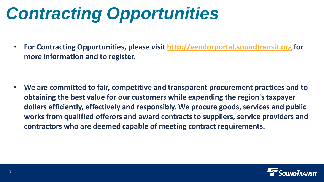# *Contracting Opportunities*

• **For Contracting Opportunities, please visit [http://vendorportal.soundtransit.org](http://vendorportal.soundtransit.org/) for more information and to register.**

• **We are committed to fair, competitive and transparent procurement practices and to obtaining the best value for our customers while expending the region's taxpayer dollars efficiently, effectively and responsibly. We procure goods, services and public works from qualified offerors and award contracts to suppliers, service providers and contractors who are deemed capable of meeting contract requirements.** 

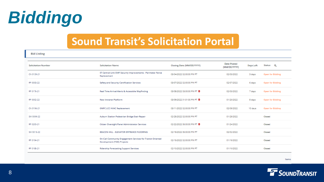

### **Sound Transit's Solicitation Portal**

**Bid Listing** 

| <b>Solicitation Number</b> | <b>Solicitation Name</b>                                                                 | Closing Date (MM/DD/YYYY) | <b>Date Posted</b><br>(MM/DD/YYYY) | Days Left | Status Q                |
|----------------------------|------------------------------------------------------------------------------------------|---------------------------|------------------------------------|-----------|-------------------------|
| CN 0139-21                 | ST Central Link OMF Security Improvements - Perimeter Fence<br>Replacement               | 03/04/2022 02:00:00 PM PT | 02/03/2022                         | 3 days    | <b>Open for Bidding</b> |
| RP 0003-22                 | Safety and Security Certification Services                                               | 03/07/2022 02:00:00 PM PT | 02/07/2022                         | 6 days    | <b>Open for Bidding</b> |
| RP 0176-21                 | Real Time Arrival Alerts & Accessible Wayfinding                                         | 03/08/2022 03:00:00 PM PT | 02/03/2022                         | 7 days    | Open for Bidding        |
| RP 0002-22                 | <b>New Intranet Platform</b>                                                             | 03/09/2022 01:01:00 PM PT | 01/20/2022                         | 8 days    | <b>Open for Bidding</b> |
| CN 0196-21                 | <b>OMFC LCC HVAC Replacement</b>                                                         | 03/11/2022 02:00:00 PM PT | 02/08/2022                         | 10 days   | <b>Open for Bidding</b> |
| SW 0009-22                 | Auburn Station Pedestrian Bridge Stair Repair                                            | 02/25/2022 02:00:00 PM PT | 01/28/2022                         |           | Closed                  |
| RP 0200-21                 | Citizen Oversight Panel Administrator Services                                           | 02/22/2022 05:00:00 PM PT | 01/24/2022                         |           | Closed                  |
| SW 0013-22                 | BEACON HILL - ELEVATOR ENTRANCE FLOORING                                                 | 02/18/2022 05:00:00 PM PT | 02/02/2022                         |           | Closed                  |
| RP 0194-21                 | On-Call Community Engagement Services for Transit Oriented<br>Development (TOD) Projects | 02/15/2022 02:00:00 PM PT | 01/18/2022                         |           | Closed                  |
| RP 0185-21                 | <b>Ridership Forecasting Support Services</b>                                            | 02/10/2022 02:00:00 PM PT | 01/10/2022                         |           | Closed                  |

Items (

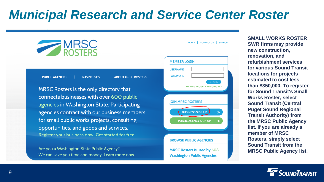### *Municipal Research and Service Center Roster*



Are you a Washington State Public Agency? We can save you time and money. Learn more now.

MRSC Rosters is used by 608 **Washington Public Agencies** 

**SMALL WORKS ROSTER SWR firms may provide new construction, renovation, and refurbishment services for various Sound Transit locations for projects estimated to cost less than \$350,000. To register for Sound Transit's Small Works Roster, select Sound Transit (Central Puget Sound Regional Transit Authority) from the MRSC Public Agency list. If you are already a member of MRSC Rosters, simply select Sound Transit from the MRSC Public Agency list**.

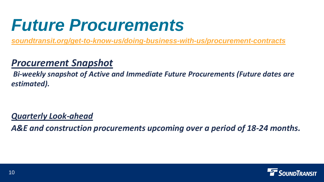## *Future Procurements*

*[soundtransit.org/get-to-know-us/doing-business-with-us/procurement-contracts](https://www.soundtransit.org/get-to-know-us/doing-business-with-us/procurement-contracts)*

#### *Procurement Snapshot*

*Bi-weekly snapshot of Active and Immediate Future Procurements (Future dates are estimated).*

#### *Quarterly Look-ahead*

*A&E and construction procurements upcoming over a period of 18-24 months.*